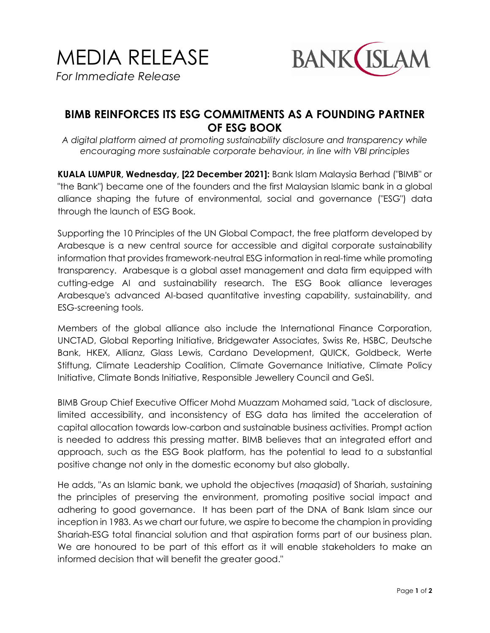

## **BIMB REINFORCES ITS ESG COMMITMENTS AS A FOUNDING PARTNER OF ESG BOOK**

*A digital platform aimed at promoting sustainability disclosure and transparency while encouraging more sustainable corporate behaviour, in line with VBI principles*

**KUALA LUMPUR, Wednesday, [22 December 2021]:** Bank Islam Malaysia Berhad ("BIMB" or "the Bank") became one of the founders and the first Malaysian Islamic bank in a global alliance shaping the future of environmental, social and governance ("ESG") data through the launch of ESG Book.

Supporting the 10 Principles of the UN Global Compact, the free platform developed by Arabesque is a new central source for accessible and digital corporate sustainability information that provides framework-neutral ESG information in real-time while promoting transparency. Arabesque is a global asset management and data firm equipped with cutting-edge AI and sustainability research. The ESG Book alliance leverages Arabesque's advanced AI-based quantitative investing capability, sustainability, and ESG-screening tools.

Members of the global alliance also include the International Finance Corporation, UNCTAD, Global Reporting Initiative, Bridgewater Associates, Swiss Re, HSBC, Deutsche Bank, HKEX, Allianz, Glass Lewis, Cardano Development, QUICK, Goldbeck, Werte Stiftung, Climate Leadership Coalition, Climate Governance Initiative, Climate Policy Initiative, Climate Bonds Initiative, Responsible Jewellery Council and GeSI.

BIMB Group Chief Executive Officer Mohd Muazzam Mohamed said, "Lack of disclosure, limited accessibility, and inconsistency of ESG data has limited the acceleration of capital allocation towards low-carbon and sustainable business activities. Prompt action is needed to address this pressing matter. BIMB believes that an integrated effort and approach, such as the ESG Book platform, has the potential to lead to a substantial positive change not only in the domestic economy but also globally.

He adds, "As an Islamic bank, we uphold the objectives (*maqasid*) of Shariah, sustaining the principles of preserving the environment, promoting positive social impact and adhering to good governance. It has been part of the DNA of Bank Islam since our inception in 1983. As we chart our future, we aspire to become the champion in providing Shariah-ESG total financial solution and that aspiration forms part of our business plan. We are honoured to be part of this effort as it will enable stakeholders to make an informed decision that will benefit the greater good."